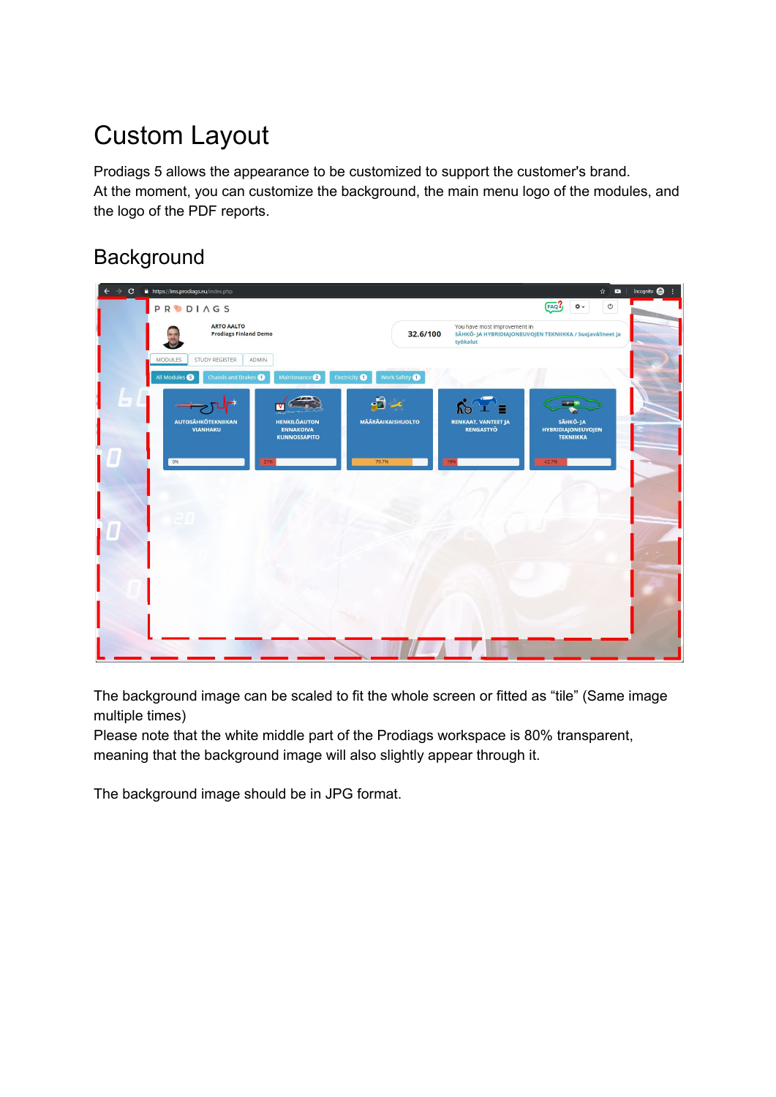# Custom Layout

Prodiags 5 allows the appearance to be customized to support the customer's brand. At the moment, you can customize the background, the main menu logo of the modules, and the logo of the PDF reports.

### **Background**

| $\rightarrow$ C | A https://lms.prodiags.eu/index.php                                                                                                        |                                                                                                                   | Incognito $\bigoplus$ :<br>☆ ■                            |
|-----------------|--------------------------------------------------------------------------------------------------------------------------------------------|-------------------------------------------------------------------------------------------------------------------|-----------------------------------------------------------|
|                 | <b>PRODIAGS</b>                                                                                                                            |                                                                                                                   | FAC<br>$\circ$<br><b>Q-</b>                               |
|                 | <b>ARTO AALTO</b><br><b>Prodiags Finland Demo</b>                                                                                          | You have most improvement in<br>32.6/100<br>SÄHKÖ- JA HYBRIDIAJONEUVOJEN TEKNIIKKA / Suojavälineet ja<br>työkalut |                                                           |
|                 | <b>MODULES</b><br>STUDY REGISTER<br>ADMIN<br>Chassis and Brakes<br>Maintenance 2<br>All Modules<br>Electricity <sup>1</sup>                | Work Safety                                                                                                       |                                                           |
| $=$             | $-5 -$                                                                                                                                     | $\hat{K}^{\circ}$ =                                                                                               | <b>External</b>                                           |
|                 | <b>MÄÄRÄAIKAISHUOLTO</b><br><b>AUTOSÄHKÖTEKNIIKAN</b><br><b>HENKILÖAUTON</b><br><b>VIANHAKU</b><br><b>ENNAKOIVA</b><br><b>KUNNOSSAPITO</b> | <b>RENKAAT, VANTEET JA</b><br><b>RENGASTYÖ</b>                                                                    | SÄHKÖ-JA<br><b>HYBRIDIAJONEUVOJEN</b><br><b>TEKNIIKKA</b> |
|                 | 0%<br>79.7%<br>21%                                                                                                                         | 19%                                                                                                               | 42.7%                                                     |
|                 |                                                                                                                                            |                                                                                                                   |                                                           |
|                 |                                                                                                                                            |                                                                                                                   |                                                           |
|                 |                                                                                                                                            |                                                                                                                   |                                                           |
|                 |                                                                                                                                            |                                                                                                                   |                                                           |
|                 |                                                                                                                                            |                                                                                                                   |                                                           |
|                 |                                                                                                                                            |                                                                                                                   |                                                           |

The background image can be scaled to fit the whole screen or fitted as "tile" (Same image multiple times)

Please note that the white middle part of the Prodiags workspace is 80% transparent, meaning that the background image will also slightly appear through it.

The background image should be in JPG format.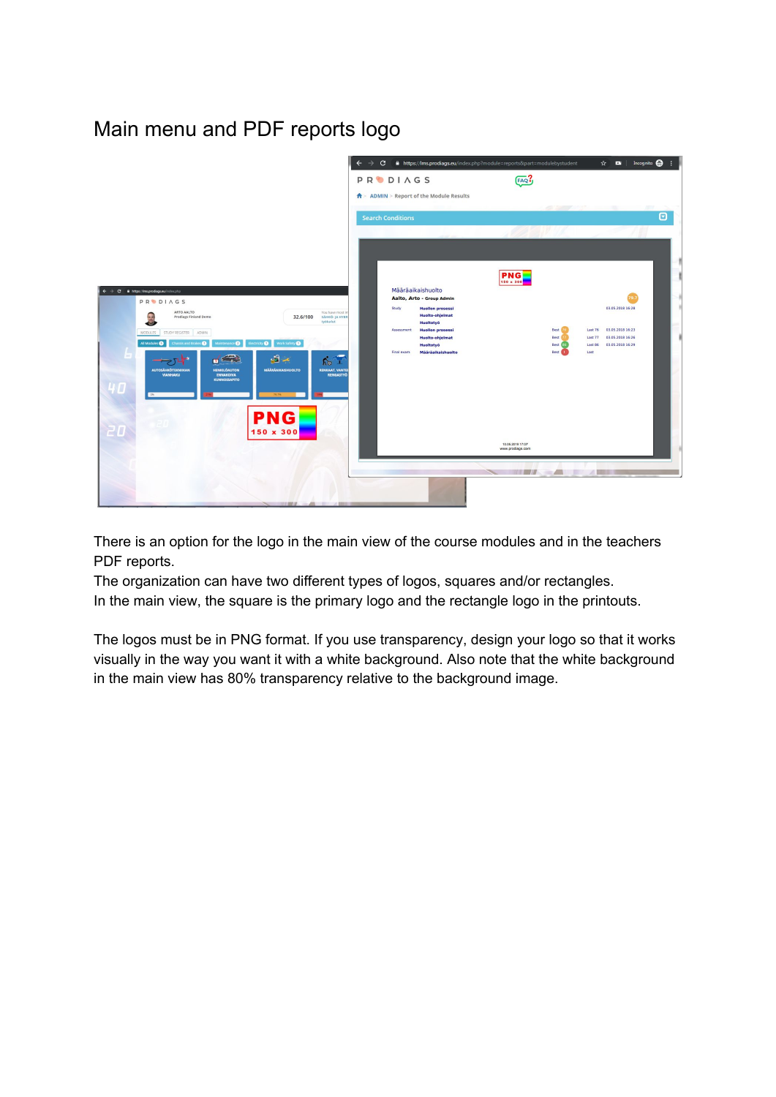### Main menu and PDF reports logo



There is an option for the logo in the main view of the course modules and in the teachers PDF reports.

The organization can have two different types of logos, squares and/or rectangles. In the main view, the square is the primary logo and the rectangle logo in the printouts.

The logos must be in PNG format. If you use transparency, design your logo so that it works visually in the way you want it with a white background. Also note that the white background in the main view has 80% transparency relative to the background image.